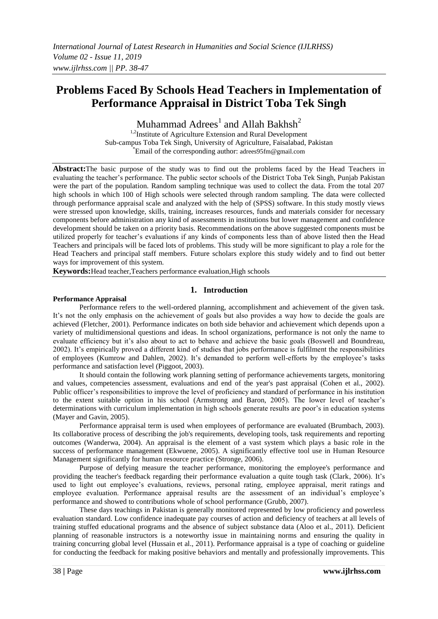# **Problems Faced By Schools Head Teachers in Implementation of Performance Appraisal in District Toba Tek Singh**

Muhammad  $\text{Adrees}^1$  and Allah Bakhsh<sup>2</sup>

<sup>1,2</sup>Institute of Agriculture Extension and Rural Development Sub-campus Toba Tek Singh, University of Agriculture, Faisalabad, Pakistan \*Email of the corresponding author: adrees95fm@gmail.com

**Abstract:**The basic purpose of the study was to find out the problems faced by the Head Teachers in evaluating the teacher's performance. The public sector schools of the District Toba Tek Singh, Punjab Pakistan were the part of the population. Random sampling technique was used to collect the data. From the total 207 high schools in which 100 of High schools were selected through random sampling. The data were collected through performance appraisal scale and analyzed with the help of (SPSS) software. In this study mostly views were stressed upon knowledge, skills, training, increases resources, funds and materials consider for necessary components before administration any kind of assessments in institutions but lower management and confidence development should be taken on a priority basis. Recommendations on the above suggested components must be utilized properly for teacher's evaluations if any kinds of components less than of above listed then the Head Teachers and principals will be faced lots of problems. This study will be more significant to play a role for the Head Teachers and principal staff members. Future scholars explore this study widely and to find out better ways for improvement of this system.

**Keywords:**Head teacher,Teachers performance evaluation,High schools

#### **1. Introduction**

#### **Performance Appraisal**

Performance refers to the well-ordered planning, accomplishment and achievement of the given task. It's not the only emphasis on the achievement of goals but also provides a way how to decide the goals are achieved (Fletcher, 2001). Performance indicates on both side behavior and achievement which depends upon a variety of multidimensional questions and ideas. In school organizations, performance is not only the name to evaluate efficiency but it's also about to act to behave and achieve the basic goals (Boswell and Boundreau, 2002). It's empirically proved a different kind of studies that jobs performance is fulfilment the responsibilities of employees (Kumrow and Dahlen, 2002). It's demanded to perform well-efforts by the employee's tasks performance and satisfaction level (Piggoot, 2003).

It should contain the following work planning setting of performance achievements targets, monitoring and values, competencies assessment, evaluations and end of the year's past appraisal (Cohen et al., 2002). Public officer's responsibilities to improve the level of proficiency and standard of performance in his institution to the extent suitable option in his school (Armstrong and Baron, 2005). The lower level of teacher's determinations with curriculum implementation in high schools generate results are poor's in education systems (Mayer and Gavin, 2005).

Performance appraisal term is used when employees of performance are evaluated (Brumbach, 2003). Its collaborative process of describing the job's requirements, developing tools, task requirements and reporting outcomes (Wanderwa, 2004). An appraisal is the element of a vast system which plays a basic role in the success of performance management (Ekwuene, 2005). A significantly effective tool use in Human Resource Management significantly for human resource practice (Stronge, 2006).

Purpose of defying measure the teacher performance, monitoring the employee's performance and providing the teacher's feedback regarding their performance evaluation a quite tough task (Clark, 2006). It's used to light out employee's evaluations, reviews, personal rating, employee appraisal, merit ratings and employee evaluation. Performance appraisal results are the assessment of an individual's employee's performance and showed to contributions whole of school performance (Grubb, 2007).

These days teachings in Pakistan is generally monitored represented by low proficiency and powerless evaluation standard. Low confidence inadequate pay courses of action and deficiency of teachers at all levels of training stuffed educational programs and the absence of subject substance data (Aloo et al., 2011). Deficient planning of reasonable instructors is a noteworthy issue in maintaining norms and ensuring the quality in training concurring global level (Hussain et al., 2011). Performance appraisal is a type of coaching or guideline for conducting the feedback for making positive behaviors and mentally and professionally improvements. This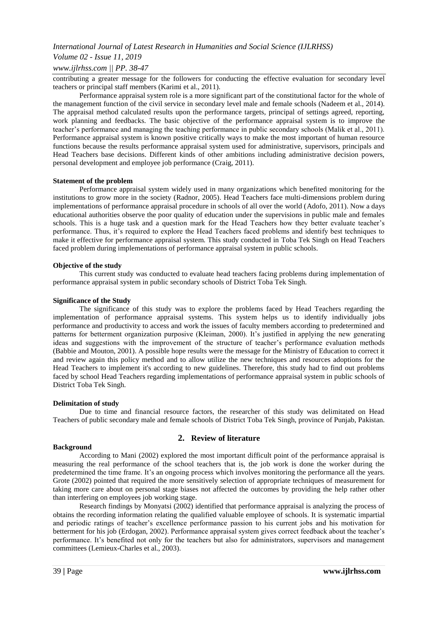### *Volume 02 - Issue 11, 2019*

#### *www.ijlrhss.com || PP. 38-47*

contributing a greater message for the followers for conducting the effective evaluation for secondary level teachers or principal staff members (Karimi et al., 2011).

Performance appraisal system role is a more significant part of the constitutional factor for the whole of the management function of the civil service in secondary level male and female schools (Nadeem et al., 2014). The appraisal method calculated results upon the performance targets, principal of settings agreed, reporting, work planning and feedbacks. The basic objective of the performance appraisal system is to improve the teacher's performance and managing the teaching performance in public secondary schools (Malik et al., 2011). Performance appraisal system is known positive critically ways to make the most important of human resource functions because the results performance appraisal system used for administrative, supervisors, principals and Head Teachers base decisions. Different kinds of other ambitions including administrative decision powers, personal development and employee job performance (Craig, 2011).

#### **Statement of the problem**

Performance appraisal system widely used in many organizations which benefited monitoring for the institutions to grow more in the society (Radnor, 2005). Head Teachers face multi-dimensions problem during implementations of performance appraisal procedure in schools of all over the world (Adofo, 2011). Now a days educational authorities observe the poor quality of education under the supervisions in public male and females schools. This is a huge task and a question mark for the Head Teachers how they better evaluate teacher's performance. Thus, it's required to explore the Head Teachers faced problems and identify best techniques to make it effective for performance appraisal system. This study conducted in Toba Tek Singh on Head Teachers faced problem during implementations of performance appraisal system in public schools.

#### **Objective of the study**

This current study was conducted to evaluate head teachers facing problems during implementation of performance appraisal system in public secondary schools of District Toba Tek Singh.

#### **Significance of the Study**

The significance of this study was to explore the problems faced by Head Teachers regarding the implementation of performance appraisal systems. This system helps us to identify individually jobs performance and productivity to access and work the issues of faculty members according to predetermined and patterns for betterment organization purposive (Kleiman, 2000). It's justified in applying the new generating ideas and suggestions with the improvement of the structure of teacher's performance evaluation methods (Babbie and Mouton, 2001). A possible hope results were the message for the Ministry of Education to correct it and review again this policy method and to allow utilize the new techniques and resources adoptions for the Head Teachers to implement it's according to new guidelines. Therefore, this study had to find out problems faced by school Head Teachers regarding implementations of performance appraisal system in public schools of District Toba Tek Singh.

#### **Delimitation of study**

Due to time and financial resource factors, the researcher of this study was delimitated on Head Teachers of public secondary male and female schools of District Toba Tek Singh, province of Punjab, Pakistan.

#### **Background**

## **2. Review of literature**

According to Mani (2002) explored the most important difficult point of the performance appraisal is measuring the real performance of the school teachers that is, the job work is done the worker during the predetermined the time frame. It's an ongoing process which involves monitoring the performance all the years. Grote (2002) pointed that required the more sensitively selection of appropriate techniques of measurement for taking more care about on personal stage biases not affected the outcomes by providing the help rather other than interfering on employees job working stage.

Research findings by Monyatsi (2002) identified that performance appraisal is analyzing the process of obtains the recording information relating the qualified valuable employee of schools. It is systematic impartial and periodic ratings of teacher's excellence performance passion to his current jobs and his motivation for betterment for his job (Erdogan, 2002). Performance appraisal system gives correct feedback about the teacher's performance. It's benefited not only for the teachers but also for administrators, supervisors and management committees (Lemieux-Charles et al., 2003).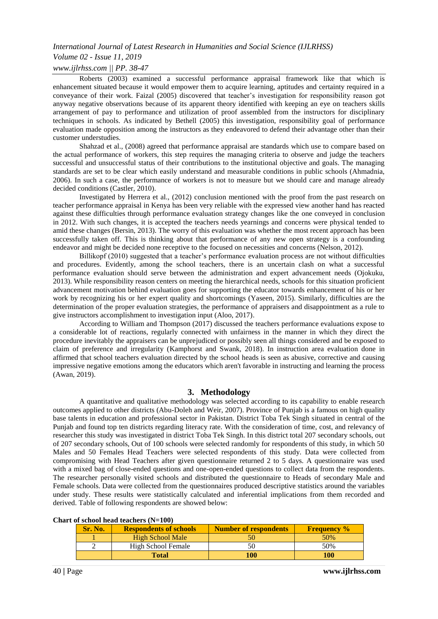## *Volume 02 - Issue 11, 2019*

## *www.ijlrhss.com || PP. 38-47*

Roberts (2003) examined a successful performance appraisal framework like that which is enhancement situated because it would empower them to acquire learning, aptitudes and certainty required in a conveyance of their work. Faizal (2005) discovered that teacher's investigation for responsibility reason got anyway negative observations because of its apparent theory identified with keeping an eye on teachers skills arrangement of pay to performance and utilization of proof assembled from the instructors for disciplinary techniques in schools. As indicated by Bethell (2005) this investigation, responsibility goal of performance evaluation made opposition among the instructors as they endeavored to defend their advantage other than their customer understudies.

Shahzad et al., (2008) agreed that performance appraisal are standards which use to compare based on the actual performance of workers, this step requires the managing criteria to observe and judge the teachers successful and unsuccessful status of their contributions to the institutional objective and goals. The managing standards are set to be clear which easily understand and measurable conditions in public schools (Ahmadnia, 2006). In such a case, the performance of workers is not to measure but we should care and manage already decided conditions (Castler, 2010).

Investigated by Herrera et al., (2012) conclusion mentioned with the proof from the past research on teacher performance appraisal in Kenya has been very reliable with the expressed view another hand has reacted against these difficulties through performance evaluation strategy changes like the one conveyed in conclusion in 2012. With such changes, it is accepted the teachers needs yearnings and concerns were physical tended to amid these changes (Bersin, 2013). The worry of this evaluation was whether the most recent approach has been successfully taken off. This is thinking about that performance of any new open strategy is a confounding endeavor and might be decided none receptive to the focused on necessities and concerns (Nelson, 2012).

Billikopf (2010) suggested that a teacher's performance evaluation process are not without difficulties and procedures. Evidently, among the school teachers, there is an uncertain clash on what a successful performance evaluation should serve between the administration and expert advancement needs (Ojokuku, 2013). While responsibility reason centers on meeting the hierarchical needs, schools for this situation proficient advancement motivation behind evaluation goes for supporting the educator towards enhancement of his or her work by recognizing his or her expert quality and shortcomings (Yaseen, 2015). Similarly, difficulties are the determination of the proper evaluation strategies, the performance of appraisers and disappointment as a rule to give instructors accomplishment to investigation input (Aloo, 2017).

According to William and Thompson (2017) discussed the teachers performance evaluations expose to a considerable lot of reactions, regularly connected with unfairness in the manner in which they direct the procedure inevitably the appraisers can be unprejudiced or possibly seen all things considered and be exposed to claim of preference and irregularity (Kamphorst and Swank, 2018). In instruction area evaluation done in affirmed that school teachers evaluation directed by the school heads is seen as abusive, corrective and causing impressive negative emotions among the educators which aren't favorable in instructing and learning the process (Awan, 2019).

#### **3. Methodology**

A quantitative and qualitative methodology was selected according to its capability to enable research outcomes applied to other districts (Abu-Doleh and Weir, 2007). Province of Punjab is a famous on high quality base talents in education and professional sector in Pakistan. District Toba Tek Singh situated in central of the Punjab and found top ten districts regarding literacy rate. With the consideration of time, cost, and relevancy of researcher this study was investigated in district Toba Tek Singh. In this district total 207 secondary schools, out of 207 secondary schools, Out of 100 schools were selected randomly for respondents of this study, in which 50 Males and 50 Females Head Teachers were selected respondents of this study. Data were collected from compromising with Head Teachers after given questionnaire returned 2 to 5 days. A questionnaire was used with a mixed bag of close-ended questions and one-open-ended questions to collect data from the respondents. The researcher personally visited schools and distributed the questionnaire to Heads of secondary Male and Female schools. Data were collected from the questionnaires produced descriptive statistics around the variables under study. These results were statistically calculated and inferential implications from them recorded and derived. Table of following respondents are showed below:

|  | Chart of school head teachers (N=100) |
|--|---------------------------------------|
|--|---------------------------------------|

| Sr. No. | <b>Respondents of schools</b> | Number of respondents | <b>Frequency</b> % |
|---------|-------------------------------|-----------------------|--------------------|
|         | <b>High School Male</b>       | 50                    | 50%                |
|         | High School Female            |                       | 50%                |
|         | <b>Total</b>                  | 100                   | 100                |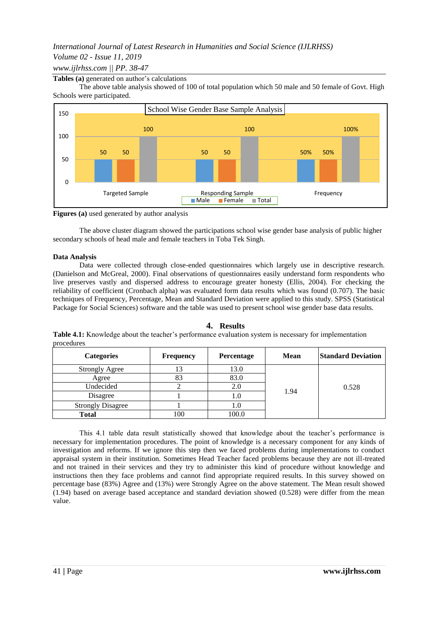## *International Journal of Latest Research in Humanities and Social Science (IJLRHSS) Volume 02 - Issue 11, 2019 www.ijlrhss.com || PP. 38-47*

#### **Tables (a)** generated on author's calculations

The above table analysis showed of 100 of total population which 50 male and 50 female of Govt. High Schools were participated.



**Figures (a)** used generated by author analysis

The above cluster diagram showed the participations school wise gender base analysis of public higher secondary schools of head male and female teachers in Toba Tek Singh.

#### **Data Analysis**

Data were collected through close-ended questionnaires which largely use in descriptive research. (Danielson and McGreal, 2000). Final observations of questionnaires easily understand form respondents who live preserves vastly and dispersed address to encourage greater honesty (Ellis, 2004). For checking the reliability of coefficient (Cronbach alpha) was evaluated form data results which was found (0.707). The basic techniques of Frequency, Percentage, Mean and Standard Deviation were applied to this study. SPSS (Statistical Package for Social Sciences) software and the table was used to present school wise gender base data results.

#### **4. Results**

**Table 4.1:** Knowledge about the teacher's performance evaluation system is necessary for implementation procedures

| <b>Categories</b>        | <b>Frequency</b> | Percentage | <b>Mean</b> | <b>Standard Deviation</b> |
|--------------------------|------------------|------------|-------------|---------------------------|
| <b>Strongly Agree</b>    | 13               | 13.0       |             |                           |
| Agree                    | 83               | 83.0       |             |                           |
| Undecided                |                  |            |             | 0.528                     |
| Disagree                 |                  | .0         | 1.94        |                           |
| <b>Strongly Disagree</b> |                  |            |             |                           |
| Total                    | 100              | 100.0      |             |                           |

This 4.1 table data result statistically showed that knowledge about the teacher's performance is necessary for implementation procedures. The point of knowledge is a necessary component for any kinds of investigation and reforms. If we ignore this step then we faced problems during implementations to conduct appraisal system in their institution. Sometimes Head Teacher faced problems because they are not ill-treated and not trained in their services and they try to administer this kind of procedure without knowledge and instructions then they face problems and cannot find appropriate required results. In this survey showed on percentage base (83%) Agree and (13%) were Strongly Agree on the above statement. The Mean result showed (1.94) based on average based acceptance and standard deviation showed (0.528) were differ from the mean value.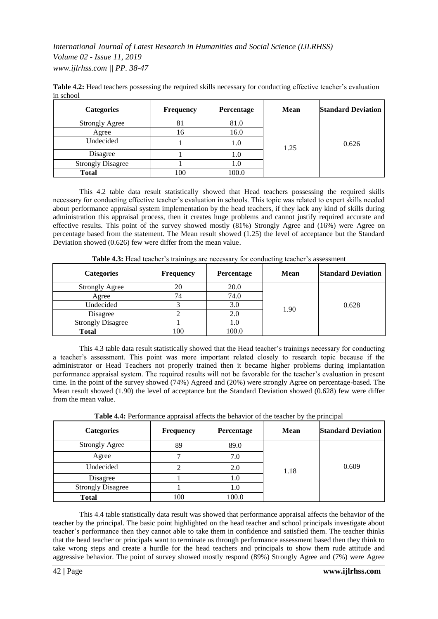| <b>Categories</b>        | <b>Frequency</b> | Percentage | Mean | <b>Standard Deviation</b> |
|--------------------------|------------------|------------|------|---------------------------|
| <b>Strongly Agree</b>    | 81               | 81.0       |      |                           |
| Agree                    | 16               | 16.0       |      |                           |
| Undecided                |                  | 1.0        | 1.25 | 0.626                     |
| Disagree                 |                  | 1.0        |      |                           |
| <b>Strongly Disagree</b> |                  |            |      |                           |
| <b>Total</b>             | 100              | 100.0      |      |                           |

**Table 4.2:** Head teachers possessing the required skills necessary for conducting effective teacher's evaluation in school

This 4.2 table data result statistically showed that Head teachers possessing the required skills necessary for conducting effective teacher's evaluation in schools. This topic was related to expert skills needed about performance appraisal system implementation by the head teachers, if they lack any kind of skills during administration this appraisal process, then it creates huge problems and cannot justify required accurate and effective results. This point of the survey showed mostly (81%) Strongly Agree and (16%) were Agree on percentage based from the statement. The Mean result showed (1.25) the level of acceptance but the Standard Deviation showed (0.626) few were differ from the mean value.

| <b>Categories</b>        | <b>Frequency</b> | Percentage | <b>Mean</b> | <b>Standard Deviation</b> |
|--------------------------|------------------|------------|-------------|---------------------------|
| <b>Strongly Agree</b>    | 20               | 20.0       |             |                           |
| Agree                    | 74               | 74.0       |             |                           |
| Undecided                |                  | 3.0        | 1.90        | 0.628                     |
| Disagree                 |                  | 2.0        |             |                           |
| <b>Strongly Disagree</b> |                  |            |             |                           |
| <b>Total</b>             | 100              | 100.0      |             |                           |

**Table 4.3:** Head teacher's trainings are necessary for conducting teacher's assessment

This 4.3 table data result statistically showed that the Head teacher's trainings necessary for conducting a teacher's assessment. This point was more important related closely to research topic because if the administrator or Head Teachers not properly trained then it became higher problems during implantation performance appraisal system. The required results will not be favorable for the teacher's evaluation in present time. In the point of the survey showed (74%) Agreed and (20%) were strongly Agree on percentage-based. The Mean result showed (1.90) the level of acceptance but the Standard Deviation showed (0.628) few were differ from the mean value.

| <b>Categories</b>        | <b>Frequency</b> | Percentage | Mean | <b>Standard Deviation</b> |
|--------------------------|------------------|------------|------|---------------------------|
| <b>Strongly Agree</b>    | 89               | 89.0       |      |                           |
| Agree                    |                  | 7.0        |      |                           |
| Undecided                |                  | 2.0        | 1.18 | 0.609                     |
| Disagree                 |                  | 1.0        |      |                           |
| <b>Strongly Disagree</b> |                  | 1.0        |      |                           |
| <b>Total</b>             | 100              | 100.0      |      |                           |

**Table 4.4:** Performance appraisal affects the behavior of the teacher by the principal

This 4.4 table statistically data result was showed that performance appraisal affects the behavior of the teacher by the principal. The basic point highlighted on the head teacher and school principals investigate about teacher's performance then they cannot able to take them in confidence and satisfied them. The teacher thinks that the head teacher or principals want to terminate us through performance assessment based then they think to take wrong steps and create a hurdle for the head teachers and principals to show them rude attitude and aggressive behavior. The point of survey showed mostly respond (89%) Strongly Agree and (7%) were Agree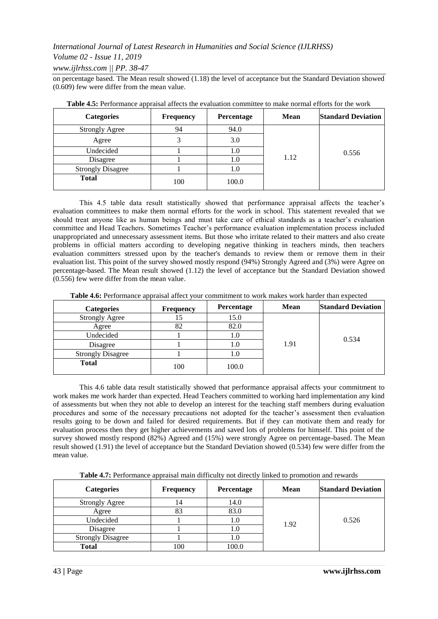## *Volume 02 - Issue 11, 2019*

*www.ijlrhss.com || PP. 38-47*

on percentage based. The Mean result showed (1.18) the level of acceptance but the Standard Deviation showed (0.609) few were differ from the mean value.

| <b>Categories</b>        | <b>Frequency</b> | Percentage | <b>Mean</b> | <b>Standard Deviation</b> |
|--------------------------|------------------|------------|-------------|---------------------------|
| <b>Strongly Agree</b>    | 94               | 94.0       |             |                           |
| Agree                    |                  | 3.0        |             |                           |
| Undecided                |                  | 1.0        | 1.12        | 0.556                     |
| Disagree                 |                  | 1.0        |             |                           |
| <b>Strongly Disagree</b> |                  | $\cup$     |             |                           |
| <b>Total</b>             | 100              | 100.0      |             |                           |

| Table 4.5: Performance appraisal affects the evaluation committee to make normal efforts for the work |  |  |  |
|-------------------------------------------------------------------------------------------------------|--|--|--|
|                                                                                                       |  |  |  |

This 4.5 table data result statistically showed that performance appraisal affects the teacher's evaluation committees to make them normal efforts for the work in school. This statement revealed that we should treat anyone like as human beings and must take care of ethical standards as a teacher's evaluation committee and Head Teachers. Sometimes Teacher's performance evaluation implementation process included unappropriated and unnecessary assessment items. But those who irritate related to their matters and also create problems in official matters according to developing negative thinking in teachers minds, then teachers evaluation committers stressed upon by the teacher's demands to review them or remove them in their evaluation list. This point of the survey showed mostly respond (94%) Strongly Agreed and (3%) were Agree on percentage-based. The Mean result showed (1.12) the level of acceptance but the Standard Deviation showed (0.556) few were differ from the mean value.

**Table 4.6:** Performance appraisal affect your commitment to work makes work harder than expected

| <b>Categories</b>        | <b>Frequency</b> | <b>Percentage</b> | <b>Mean</b> | <b>Standard Deviation</b> |
|--------------------------|------------------|-------------------|-------------|---------------------------|
| <b>Strongly Agree</b>    |                  | 15.0              |             |                           |
| Agree                    | 82               | 82.0              |             |                           |
| Undecided                |                  |                   | 1.91        | 0.534                     |
| Disagree                 |                  | 1.0               |             |                           |
| <b>Strongly Disagree</b> |                  | I.U               |             |                           |
| <b>Total</b>             | 100              | 100.0             |             |                           |

This 4.6 table data result statistically showed that performance appraisal affects your commitment to work makes me work harder than expected. Head Teachers committed to working hard implementation any kind of assessments but when they not able to develop an interest for the teaching staff members during evaluation procedures and some of the necessary precautions not adopted for the teacher's assessment then evaluation results going to be down and failed for desired requirements. But if they can motivate them and ready for evaluation process then they get higher achievements and saved lots of problems for himself. This point of the survey showed mostly respond (82%) Agreed and (15%) were strongly Agree on percentage-based. The Mean result showed (1.91) the level of acceptance but the Standard Deviation showed (0.534) few were differ from the mean value.

**Table 4.7:** Performance appraisal main difficulty not directly linked to promotion and rewards

| <b>Categories</b>        | <b>Frequency</b> | <b>Percentage</b> | Mean | <b>Standard Deviation</b> |
|--------------------------|------------------|-------------------|------|---------------------------|
| <b>Strongly Agree</b>    | 14               | 14.0              |      |                           |
| Agree                    | 83               | 83.0              |      |                           |
| Undecided                |                  | 1.0               | 1.92 | 0.526                     |
| Disagree                 |                  | 1.0               |      |                           |
| <b>Strongly Disagree</b> |                  | 1.0               |      |                           |
| <b>Total</b>             | 100              | 100.0             |      |                           |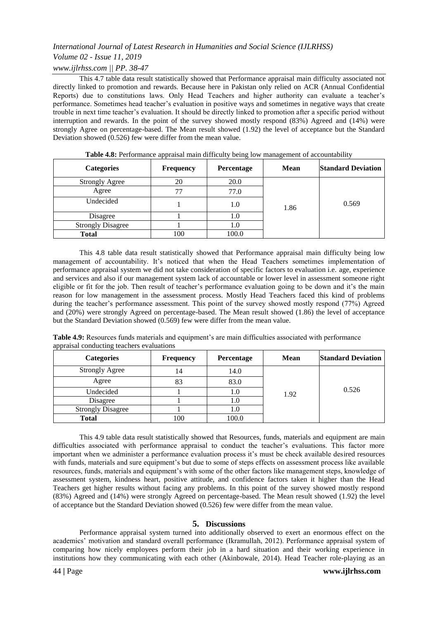## *International Journal of Latest Research in Humanities and Social Science (IJLRHSS) Volume 02 - Issue 11, 2019*

## *www.ijlrhss.com || PP. 38-47*

This 4.7 table data result statistically showed that Performance appraisal main difficulty associated not directly linked to promotion and rewards. Because here in Pakistan only relied on ACR (Annual Confidential Reports) due to constitutions laws. Only Head Teachers and higher authority can evaluate a teacher's performance. Sometimes head teacher's evaluation in positive ways and sometimes in negative ways that create trouble in next time teacher's evaluation. It should be directly linked to promotion after a specific period without interruption and rewards. In the point of the survey showed mostly respond (83%) Agreed and (14%) were strongly Agree on percentage-based. The Mean result showed (1.92) the level of acceptance but the Standard Deviation showed (0.526) few were differ from the mean value.

| <b>Categories</b>        | Frequency | Percentage | <b>Mean</b> | <b>Standard Deviation</b> |
|--------------------------|-----------|------------|-------------|---------------------------|
| <b>Strongly Agree</b>    | 20        | 20.0       |             |                           |
| Agree                    | 77        | 77.0       |             |                           |
| Undecided                |           | 1.0        | 1.86        | 0.569                     |
| Disagree                 |           | 1.0        |             |                           |
| <b>Strongly Disagree</b> |           | 0.1        |             |                           |
| <b>Total</b>             | 100       | 100.0      |             |                           |

**Table 4.8:** Performance appraisal main difficulty being low management of accountability

This 4.8 table data result statistically showed that Performance appraisal main difficulty being low management of accountability. It's noticed that when the Head Teachers sometimes implementation of performance appraisal system we did not take consideration of specific factors to evaluation i.e. age, experience and services and also if our management system lack of accountable or lower level in assessment someone right eligible or fit for the job. Then result of teacher's performance evaluation going to be down and it's the main reason for low management in the assessment process. Mostly Head Teachers faced this kind of problems during the teacher's performance assessment. This point of the survey showed mostly respond (77%) Agreed and (20%) were strongly Agreed on percentage-based. The Mean result showed (1.86) the level of acceptance but the Standard Deviation showed (0.569) few were differ from the mean value.

**Table 4.9:** Resources funds materials and equipment's are main difficulties associated with performance appraisal conducting teachers evaluations

| <b>Categories</b>        | <b>Frequency</b> | Percentage | <b>Mean</b> | <b>Standard Deviation</b> |
|--------------------------|------------------|------------|-------------|---------------------------|
| <b>Strongly Agree</b>    | 14               | 14.0       |             |                           |
| Agree                    | 83               | 83.0       |             |                           |
| Undecided                |                  | 1.O        | 1.92        | 0.526                     |
| Disagree                 |                  |            |             |                           |
| <b>Strongly Disagree</b> |                  | I.U        |             |                           |
| <b>Total</b>             | 100              | 100.0      |             |                           |

This 4.9 table data result statistically showed that Resources, funds, materials and equipment are main difficulties associated with performance appraisal to conduct the teacher's evaluations. This factor more important when we administer a performance evaluation process it's must be check available desired resources with funds, materials and sure equipment's but due to some of steps effects on assessment process like available resources, funds, materials and equipment's with some of the other factors like management steps, knowledge of assessment system, kindness heart, positive attitude, and confidence factors taken it higher than the Head Teachers get higher results without facing any problems. In this point of the survey showed mostly respond (83%) Agreed and (14%) were strongly Agreed on percentage-based. The Mean result showed (1.92) the level of acceptance but the Standard Deviation showed (0.526) few were differ from the mean value.

#### **5. Discussions**

Performance appraisal system turned into additionally observed to exert an enormous effect on the academics' motivation and standard overall performance (Ikramullah, 2012). Performance appraisal system of comparing how nicely employees perform their job in a hard situation and their working experience in institutions how they communicating with each other (Akinbowale, 2014). Head Teacher role-playing as an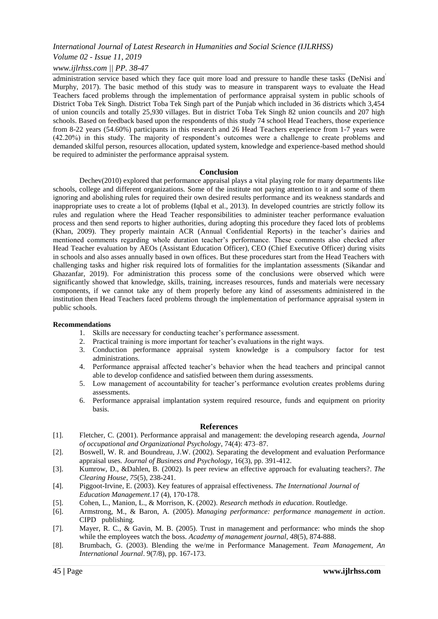#### *Volume 02 - Issue 11, 2019*

#### *www.ijlrhss.com || PP. 38-47*

administration service based which they face quit more load and pressure to handle these tasks (DeNisi and Murphy, 2017). The basic method of this study was to measure in transparent ways to evaluate the Head Teachers faced problems through the implementation of performance appraisal system in public schools of District Toba Tek Singh. District Toba Tek Singh part of the Punjab which included in 36 districts which 3,454 of union councils and totally 25,930 villages. But in district Toba Tek Singh 82 union councils and 207 high schools. Based on feedback based upon the respondents of this study 74 school Head Teachers, those experience from 8-22 years (54.60%) participants in this research and 26 Head Teachers experience from 1-7 years were (42.20%) in this study. The majority of respondent's outcomes were a challenge to create problems and demanded skilful person, resources allocation, updated system, knowledge and experience-based method should be required to administer the performance appraisal system.

#### **Conclusion**

Dechev(2010) explored that performance appraisal plays a vital playing role for many departments like schools, college and different organizations. Some of the institute not paying attention to it and some of them ignoring and abolishing rules for required their own desired results performance and its weakness standards and inappropriate uses to create a lot of problems (Iqbal et al., 2013). In developed countries are strictly follow its rules and regulation where the Head Teacher responsibilities to administer teacher performance evaluation process and then send reports to higher authorities, during adopting this procedure they faced lots of problems (Khan, 2009). They properly maintain ACR (Annual Confidential Reports) in the teacher's dairies and mentioned comments regarding whole duration teacher's performance. These comments also checked after Head Teacher evaluation by AEOs (Assistant Education Officer), CEO (Chief Executive Officer) during visits in schools and also asses annually based in own offices. But these procedures start from the Head Teachers with challenging tasks and higher risk required lots of formalities for the implantation assessments (Sikandar and Ghazanfar, 2019). For administration this process some of the conclusions were observed which were significantly showed that knowledge, skills, training, increases resources, funds and materials were necessary components, if we cannot take any of them properly before any kind of assessments administered in the institution then Head Teachers faced problems through the implementation of performance appraisal system in public schools.

#### **Recommendations**

- 1. Skills are necessary for conducting teacher's performance assessment.
- 2. Practical training is more important for teacher's evaluations in the right ways.
- 3. Conduction performance appraisal system knowledge is a compulsory factor for test administrations.
- 4. Performance appraisal affected teacher's behavior when the head teachers and principal cannot able to develop confidence and satisfied between them during assessments.
- 5. Low management of accountability for teacher's performance evolution creates problems during assessments.
- 6. Performance appraisal implantation system required resource, funds and equipment on priority basis.

#### **References**

- [1]. Fletcher, C. (2001). Performance appraisal and management: the developing research agenda, *Journal of occupational and Organizational Psychology*, 74(4): 473–87.
- [2]. Boswell, W. R. and Boundreau, J.W. (2002). Separating the development and evaluation Performance appraisal uses. *Journal of Business and Psychology*, 16(3), pp. 391-412.
- [3]. Kumrow, D., &Dahlen, B. (2002). Is peer review an effective approach for evaluating teachers?. *The Clearing House*, *75*(5), 238-241.
- [4]. Piggoot-Irvine, E. (2003). Key features of appraisal effectiveness. *The International Journal of Education Management*.17 (4), 170-178.
- [5]. Cohen, L., Manion, L., & Morrison, K. (2002). *Research methods in education*. Routledge.
- [6]. Armstrong, M., & Baron, A. (2005). *Managing performance: performance management in action*. CIPD publishing.
- [7]. Mayer, R. C., & Gavin, M. B. (2005). Trust in management and performance: who minds the shop while the employees watch the boss. *Academy of management journal*, *48*(5), 874-888.
- [8]. Brumbach, G. (2003). Blending the we/me in Performance Management. *Team Management, An International Journal*. 9(7/8), pp. 167-173.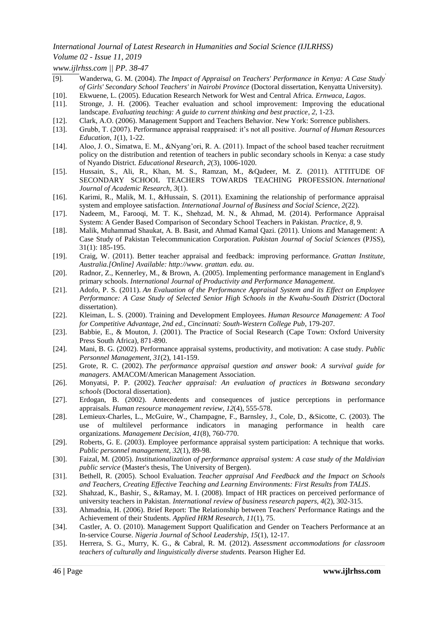### *Volume 02 - Issue 11, 2019*

*www.ijlrhss.com || PP. 38-47*

- [9]. Wanderwa, G. M. (2004). *The Impact of Appraisal on Teachers' Performance in Kenya: A Case Study of Girls' Secondary School Teachers' in Nairobi Province* (Doctoral dissertation, Kenyatta University).
- [10]. Ekwuene, L. (2005). Education Research Network for West and Central Africa. *Ernwaca, Lagos*.
- [11]. Stronge, J. H. (2006). Teacher evaluation and school improvement: Improving the educational landscape. *Evaluating teaching: A guide to current thinking and best practice*, *2*, 1-23.
- [12]. Clark, A.O. (2006). Management Support and Teachers Behavior. New York: Sorrence publishers.
- [13]. Grubb, T. (2007). Performance appraisal reappraised: it's not all positive. *Journal of Human Resources Education*, *1*(1), 1-22.
- [14]. Aloo, J. O., Simatwa, E. M., &Nyang'ori, R. A. (2011). Impact of the school based teacher recruitment policy on the distribution and retention of teachers in public secondary schools in Kenya: a case study of Nyando District. *Educational Research*, *2*(3), 1006-1020.
- [15]. Hussain, S., Ali, R., Khan, M. S., Ramzan, M., &Qadeer, M. Z. (2011). ATTITUDE OF SECONDARY SCHOOL TEACHERS TOWARDS TEACHING PROFESSION. *International Journal of Academic Research*, *3*(1).
- [16]. Karimi, R., Malik, M. I., &Hussain, S. (2011). Examining the relationship of performance appraisal system and employee satisfaction. *International Journal of Business and Social Science*, *2*(22).
- [17]. Nadeem, M., Farooqi, M. T. K., Shehzad, M. N., & Ahmad, M. (2014). Performance Appraisal System: A Gender Based Comparison of Secondary School Teachers in Pakistan. *Practice*, *8*, 9.
- [18]. Malik, Muhammad Shaukat, A. B. Basit, and Ahmad Kamal Qazi. (2011). Unions and Management: A Case Study of Pakistan Telecommunication Corporation. *Pakistan Journal of Social Sciences* (PJSS), 31(1): 185-195.
- [19]. Craig, W. (2011). Better teacher appraisal and feedback: improving performance. *Grattan Institute, Australia.[Online] Available: http://www. grattan. edu. au*.
- [20]. Radnor, Z., Kennerley, M., & Brown, A. (2005). Implementing performance management in England's primary schools. *International Journal of Productivity and Performance Management*.
- [21]. Adofo, P. S. (2011). *An Evaluation of the Performance Appraisal System and its Effect on Employee Performance: A Case Study of Selected Senior High Schools in the Kwahu-South District* (Doctoral dissertation).
- [22]. Kleiman, L. S. (2000). Training and Development Employees. *Human Resource Management: A Tool for Competitive Advantage, 2nd ed., Cincinnati: South-Western College Pub*, 179-207.
- [23]. Babbie, E., & Mouton, J. (2001). The Practice of Social Research (Cape Town: Oxford University Press South Africa), 871-890.
- [24]. Mani, B. G. (2002). Performance appraisal systems, productivity, and motivation: A case study. *Public Personnel Management*, *31*(2), 141-159.
- [25]. Grote, R. C. (2002). *The performance appraisal question and answer book: A survival guide for managers*. AMACOM/American Management Association.
- [26]. Monyatsi, P. P. (2002). *Teacher appraisal: An evaluation of practices in Botswana secondary schools* (Doctoral dissertation).
- [27]. Erdogan, B. (2002). Antecedents and consequences of justice perceptions in performance appraisals. *Human resource management review*, *12*(4), 555-578.
- [28]. Lemieux-Charles, L., McGuire, W., Champagne, F., Barnsley, J., Cole, D., &Sicotte, C. (2003). The use of multilevel performance indicators in managing performance in health care organizations. *Management Decision*, *41*(8), 760-770.
- [29]. Roberts, G. E. (2003). Employee performance appraisal system participation: A technique that works. *Public personnel management*, *32*(1), 89-98.
- [30]. Faizal, M. (2005). *Institutionalization of performance appraisal system: A case study of the Maldivian public service* (Master's thesis, The University of Bergen).
- [31]. Bethell, R. (2005). School Evaluation. *Teacher appraisal And Feedback and the Impact on Schools and Teachers, Creating Effective Teaching and Learning Environments: First Results from TALIS*.
- [32]. Shahzad, K., Bashir, S., &Ramay, M. I. (2008). Impact of HR practices on perceived performance of university teachers in Pakistan. *International review of business research papers*, *4*(2), 302-315.
- [33]. Ahmadnia, H. (2006). Brief Report: The Relationship between Teachers' Performance Ratings and the Achievement of their Students. *Applied HRM Research*, *11*(1), 75.
- [34]. Castler, A. O. (2010). Management Support Qualification and Gender on Teachers Performance at an In-service Course. *Nigeria Journal of School Leadership*, *15*(1), 12-17.
- [35]. Herrera, S. G., Murry, K. G., & Cabral, R. M. (2012). *Assessment accommodations for classroom teachers of culturally and linguistically diverse students*. Pearson Higher Ed.